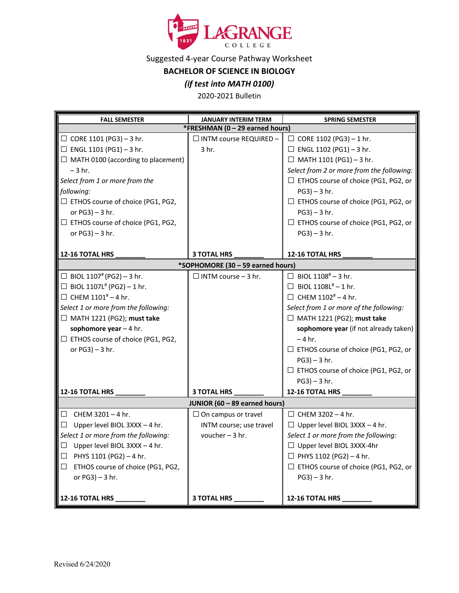

Suggested 4-year Course Pathway Worksheet

**BACHELOR OF SCIENCE IN BIOLOGY**

## *(if test into MATH 0100)*

2020-2021 Bulletin

| <b>FALL SEMESTER</b>                        | <b>JANUARY INTERIM TERM</b> | <b>SPRING SEMESTER</b>                      |  |
|---------------------------------------------|-----------------------------|---------------------------------------------|--|
| *FRESHMAN (0 - 29 earned hours)             |                             |                                             |  |
| $\Box$ CORE 1101 (PG3) - 3 hr.              | □ INTM course REQUIRED -    | $\Box$ CORE 1102 (PG3) - 1 hr.              |  |
| $\Box$ ENGL 1101 (PG1) - 3 hr.              | 3 hr.                       | $\Box$ ENGL 1102 (PG1) - 3 hr.              |  |
| $\Box$ MATH 0100 (according to placement)   |                             | $\Box$ MATH 1101 (PG1) - 3 hr.              |  |
| $-3$ hr.                                    |                             | Select from 2 or more from the following:   |  |
| Select from 1 or more from the              |                             | □ ETHOS course of choice (PG1, PG2, or      |  |
| following:                                  |                             | $PG3$ ) – 3 hr.                             |  |
| □ ETHOS course of choice (PG1, PG2,         |                             | □ ETHOS course of choice (PG1, PG2, or      |  |
| or $PG3$ ) – 3 hr.                          |                             | $PG3$ ) – 3 hr.                             |  |
| $\exists$ ETHOS course of choice (PG1, PG2, |                             | □ ETHOS course of choice (PG1, PG2, or      |  |
| or $PG3$ ) – 3 hr.                          |                             | $PG3$ ) – 3 hr.                             |  |
|                                             |                             |                                             |  |
| 12-16 TOTAL HRS                             | <b>3 TOTAL HRS</b>          | 12-16 TOTAL HRS                             |  |
| *SOPHOMORE (30 - 59 earned hours)           |                             |                                             |  |
| □ BIOL 1107 <sup>#</sup> (PG2) - 3 hr.      | $\Box$ INTM course - 3 hr.  | $\Box$ BIOL 1108 <sup>#</sup> - 3 hr.       |  |
| □ BIOL 1107L <sup>#</sup> (PG2) - 1 hr.     |                             | $\Box$ BIOL 1108L <sup>#</sup> - 1 hr.      |  |
| $\Box$ CHEM 1101 <sup>#</sup> - 4 hr.       |                             | $\Box$ CHEM 1102 <sup>#</sup> - 4 hr.       |  |
| Select 1 or more from the following:        |                             | Select from 1 or more of the following:     |  |
| $\Box$ MATH 1221 (PG2); must take           |                             | $\Box$ MATH 1221 (PG2); must take           |  |
| sophomore year $-4$ hr.                     |                             | sophomore year (if not already taken)       |  |
| $\Box$ ETHOS course of choice (PG1, PG2,    |                             | $-4$ hr.                                    |  |
| or $PG3$ ) – 3 hr.                          |                             | $\Box$ ETHOS course of choice (PG1, PG2, or |  |
|                                             |                             | $PG3$ ) – 3 hr.                             |  |
|                                             |                             | □ ETHOS course of choice (PG1, PG2, or      |  |
|                                             |                             | $PG3$ ) – 3 hr.                             |  |
| 12-16 TOTAL HRS                             | <b>3 TOTAL HRS</b>          | 12-16 TOTAL HRS                             |  |
| JUNIOR (60 - 89 earned hours)               |                             |                                             |  |
| $\Box$ CHEM 3201 - 4 hr.                    | $\Box$ On campus or travel  | $\Box$ CHEM 3202 - 4 hr.                    |  |
| Upper level BIOL 3XXX - 4 hr.<br>$\Box$     | INTM course; use travel     | $\Box$ Upper level BIOL 3XXX - 4 hr.        |  |
| Select 1 or more from the following:        | voucher $-3$ hr.            | Select 1 or more from the following:        |  |
| Upper level BIOL 3XXX - 4 hr.<br>ப          |                             | $\Box$ Upper level BIOL 3XXX-4hr            |  |
| ▌□<br>PHYS 1101 (PG2) - 4 hr.               |                             | $\Box$ PHYS 1102 (PG2) - 4 hr.              |  |
| ETHOS course of choice (PG1, PG2,<br>$\Box$ |                             | □ ETHOS course of choice (PG1, PG2, or      |  |
| or $PG3$ ) - 3 hr.                          |                             | $PG3$ ) – 3 hr.                             |  |
|                                             |                             |                                             |  |
| $12-16$ TOTAL HRS $\_\_$                    | 3 TOTAL HRS                 | 12-16 TOTAL HRS                             |  |